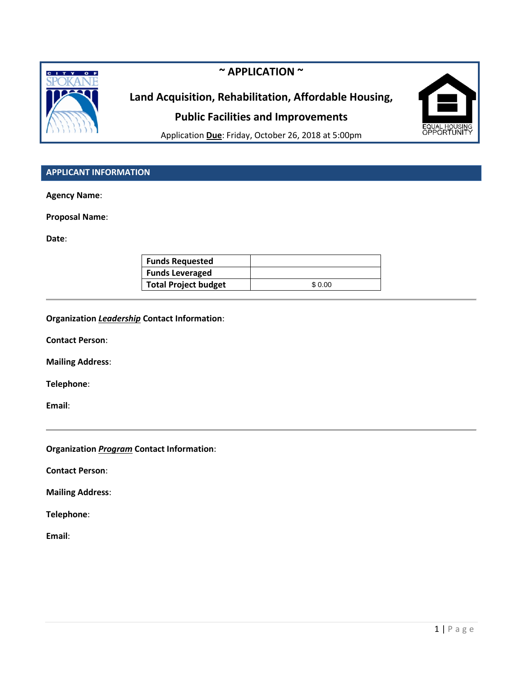

# **~ APPLICATION ~**

# **Land Acquisition, Rehabilitation, Affordable Housing, Public Facilities and Improvements**



Application **Due**: Friday, October 26, 2018 at 5:00pm

# **APPLICANT INFORMATION**

**Agency Name**:

**Proposal Name**:

**Date**:

| <b>Funds Requested</b>      |        |
|-----------------------------|--------|
| <b>Funds Leveraged</b>      |        |
| <b>Total Project budget</b> | \$0.00 |

#### **Organization** *Leadership* **Contact Information**:

**Contact Person**:

**Mailing Address**:

**Telephone**:

**Email**:

**Organization** *Program* **Contact Information**:

**Contact Person**:

**Mailing Address**:

**Telephone**:

**Email**: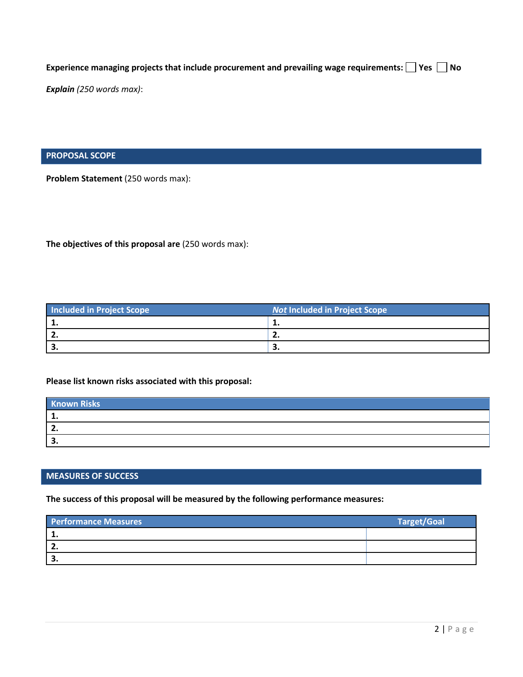Experience managing projects that include procurement and prevailing wage requirements:  $\Box$  Yes  $\Box$  No

*Explain (250 words max)*:

**PROPOSAL SCOPE**

**Problem Statement** (250 words max):

**The objectives of this proposal are** (250 words max):

| <b>Included in Project Scope</b> | Not Included in Project Scope |
|----------------------------------|-------------------------------|
|                                  |                               |
|                                  | . .                           |
|                                  | ، پ                           |

### **Please list known risks associated with this proposal:**

| <b>Known Risks</b> |  |
|--------------------|--|
|                    |  |
|                    |  |
|                    |  |

#### **MEASURES OF SUCCESS**

**The success of this proposal will be measured by the following performance measures:**

| <b>Performance Measures</b> | <b>Target/Goal</b> |
|-----------------------------|--------------------|
|                             |                    |
|                             |                    |
|                             |                    |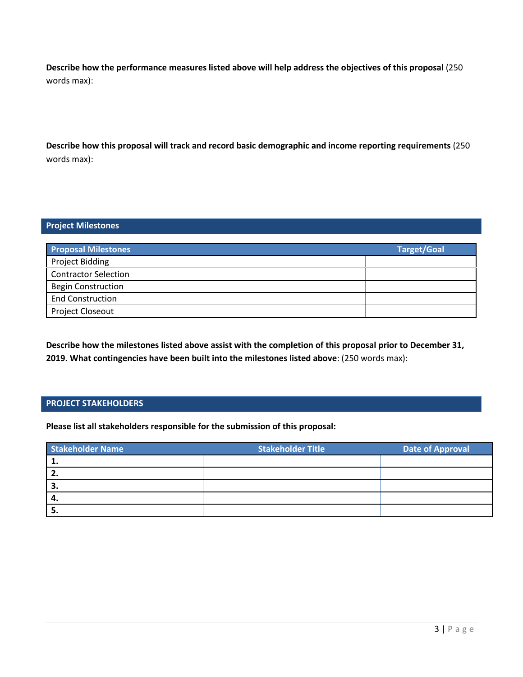**Describe how the performance measures listed above will help address the objectives of this proposal** (250 words max):

**Describe how this proposal will track and record basic demographic and income reporting requirements** (250 words max):

## **Project Milestones**

| <b>Proposal Milestones</b>  | <b>Target/Goal</b> |
|-----------------------------|--------------------|
| <b>Project Bidding</b>      |                    |
| <b>Contractor Selection</b> |                    |
| <b>Begin Construction</b>   |                    |
| <b>End Construction</b>     |                    |
| <b>Project Closeout</b>     |                    |

**Describe how the milestones listed above assist with the completion of this proposal prior to December 31, 2019. What contingencies have been built into the milestones listed above**: (250 words max):

## **PROJECT STAKEHOLDERS**

**Please list all stakeholders responsible for the submission of this proposal:**

| <b>Stakeholder Name</b> | <b>Stakeholder Title</b> | <b>Date of Approval</b> |
|-------------------------|--------------------------|-------------------------|
|                         |                          |                         |
| ' 2.                    |                          |                         |
| З.                      |                          |                         |
| -4.                     |                          |                         |
|                         |                          |                         |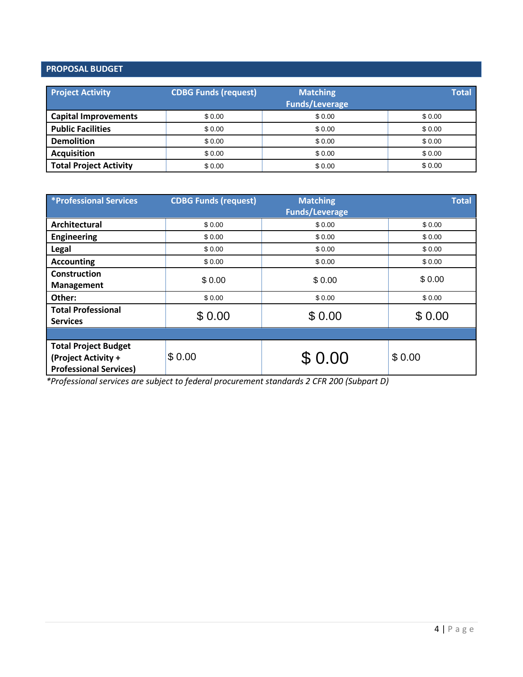# **PROPOSAL BUDGET**

| <b>Project Activity</b>       | <b>CDBG Funds (request)</b> | <b>Matching</b><br><b>Funds/Leverage</b> | <b>Total</b> |
|-------------------------------|-----------------------------|------------------------------------------|--------------|
| <b>Capital Improvements</b>   | \$0.00                      | \$0.00                                   | \$0.00       |
| <b>Public Facilities</b>      | \$0.00                      | \$0.00                                   | \$0.00       |
| <b>Demolition</b>             | \$0.00                      | \$0.00                                   | \$ 0.00      |
| <b>Acquisition</b>            | \$0.00                      | \$0.00                                   | \$0.00       |
| <b>Total Project Activity</b> | \$0.00                      | \$0.00                                   | \$0.00       |

| <b>*Professional Services</b>                                                       | <b>CDBG Funds (request)</b> | <b>Matching</b><br><b>Funds/Leverage</b> | <b>Total</b> |
|-------------------------------------------------------------------------------------|-----------------------------|------------------------------------------|--------------|
| Architectural                                                                       | \$0.00                      | \$0.00                                   | \$0.00       |
| <b>Engineering</b>                                                                  | \$0.00                      | \$0.00                                   | \$0.00       |
| Legal                                                                               | \$0.00                      | \$0.00                                   | \$0.00       |
| <b>Accounting</b>                                                                   | \$0.00                      | \$0.00                                   | \$0.00       |
| <b>Construction</b><br><b>Management</b>                                            | \$0.00                      | \$0.00                                   | \$0.00       |
| Other:                                                                              | \$0.00                      | \$0.00                                   | \$0.00       |
| <b>Total Professional</b><br><b>Services</b>                                        | \$0.00                      | \$0.00                                   | \$0.00       |
|                                                                                     |                             |                                          |              |
| <b>Total Project Budget</b><br>(Project Activity +<br><b>Professional Services)</b> | \$0.00                      | \$ 0.00                                  | \$0.00       |

*\*Professional services are subject to federal procurement standards 2 CFR 200 (Subpart D)*